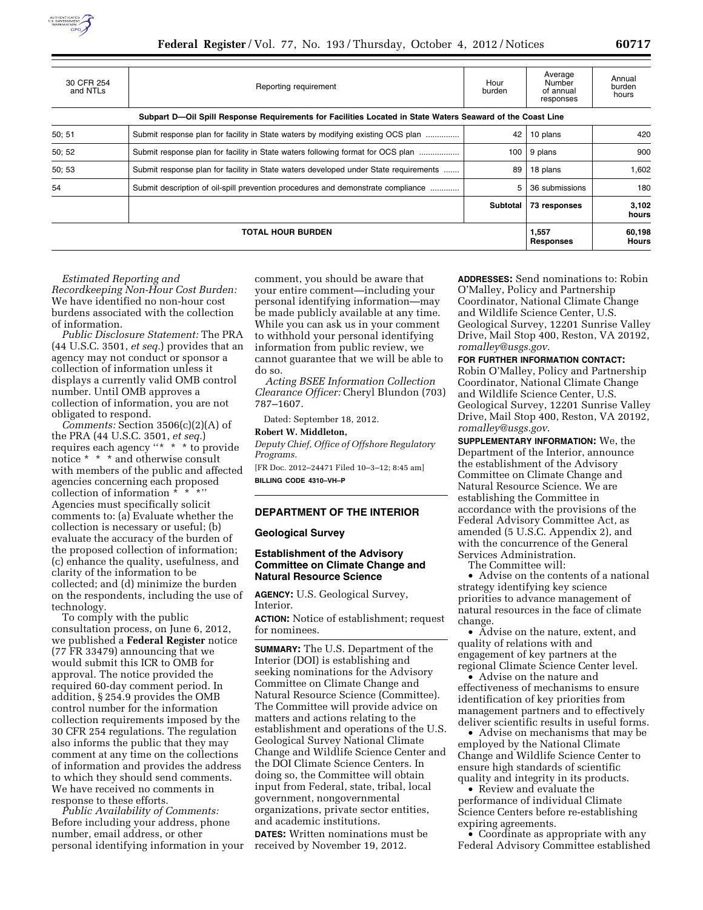

| <b>TOTAL HOUR BURDEN</b> |                                                                                                            |                | 1.557<br><b>Responses</b>                   | 60,198<br>Hours           |
|--------------------------|------------------------------------------------------------------------------------------------------------|----------------|---------------------------------------------|---------------------------|
|                          |                                                                                                            | Subtotal       | 73 responses                                | 3,102<br>hours            |
| 54                       | Submit description of oil-spill prevention procedures and demonstrate compliance                           | 5              | 36 submissions                              | 180                       |
| 50; 53                   | Submit response plan for facility in State waters developed under State requirements                       | 89             | 18 plans                                    | 1,602                     |
| 50; 52                   | Submit response plan for facility in State waters following format for OCS plan                            | 100            | 9 plans                                     | 900                       |
| 50; 51                   | Submit response plan for facility in State waters by modifying existing OCS plan                           | 42             | 10 plans                                    | 420                       |
|                          | Subpart D—Oil Spill Response Requirements for Facilities Located in State Waters Seaward of the Coast Line |                |                                             |                           |
| 30 CFR 254<br>and NTLs   | Reporting requirement                                                                                      | Hour<br>burden | Average<br>Number<br>of annual<br>responses | Annual<br>burden<br>hours |

#### *Estimated Reporting and*

*Recordkeeping Non-Hour Cost Burden:*  We have identified no non-hour cost burdens associated with the collection of information.

*Public Disclosure Statement:* The PRA (44 U.S.C. 3501, *et seq.*) provides that an agency may not conduct or sponsor a collection of information unless it displays a currently valid OMB control number. Until OMB approves a collection of information, you are not obligated to respond.

*Comments:* Section 3506(c)(2)(A) of the PRA (44 U.S.C. 3501, *et seq.*) requires each agency ''\* \* \* to provide notice \* \* \* and otherwise consult with members of the public and affected agencies concerning each proposed collection of information \* \* \*' Agencies must specifically solicit comments to: (a) Evaluate whether the collection is necessary or useful; (b) evaluate the accuracy of the burden of the proposed collection of information; (c) enhance the quality, usefulness, and clarity of the information to be collected; and (d) minimize the burden on the respondents, including the use of technology.

To comply with the public consultation process, on June 6, 2012, we published a **Federal Register** notice (77 FR 33479) announcing that we would submit this ICR to OMB for approval. The notice provided the required 60-day comment period. In addition, § 254.9 provides the OMB control number for the information collection requirements imposed by the 30 CFR 254 regulations. The regulation also informs the public that they may comment at any time on the collections of information and provides the address to which they should send comments. We have received no comments in response to these efforts.

*Public Availability of Comments:*  Before including your address, phone number, email address, or other personal identifying information in your comment, you should be aware that your entire comment—including your personal identifying information—may be made publicly available at any time. While you can ask us in your comment to withhold your personal identifying information from public review, we cannot guarantee that we will be able to do so.

*Acting BSEE Information Collection Clearance Officer:* Cheryl Blundon (703) 787–1607.

Dated: September 18, 2012.

**Robert W. Middleton,** 

*Deputy Chief, Office of Offshore Regulatory Programs.* 

[FR Doc. 2012–24471 Filed 10–3–12; 8:45 am] **BILLING CODE 4310–VH–P** 

## **DEPARTMENT OF THE INTERIOR**

#### **Geological Survey**

### **Establishment of the Advisory Committee on Climate Change and Natural Resource Science**

**AGENCY:** U.S. Geological Survey, Interior.

**ACTION:** Notice of establishment; request for nominees.

**SUMMARY:** The U.S. Department of the Interior (DOI) is establishing and seeking nominations for the Advisory Committee on Climate Change and Natural Resource Science (Committee). The Committee will provide advice on matters and actions relating to the establishment and operations of the U.S. Geological Survey National Climate Change and Wildlife Science Center and the DOI Climate Science Centers. In doing so, the Committee will obtain input from Federal, state, tribal, local government, nongovernmental organizations, private sector entities, and academic institutions. **DATES:** Written nominations must be

received by November 19, 2012.

**ADDRESSES:** Send nominations to: Robin O'Malley, Policy and Partnership Coordinator, National Climate Change and Wildlife Science Center, U.S. Geological Survey, 12201 Sunrise Valley Drive, Mail Stop 400, Reston, VA 20192, *[romalley@usgs.gov.](mailto:romalley@usgs.gov)* 

#### **FOR FURTHER INFORMATION CONTACT:**

Robin O'Malley, Policy and Partnership Coordinator, National Climate Change and Wildlife Science Center, U.S. Geological Survey, 12201 Sunrise Valley Drive, Mail Stop 400, Reston, VA 20192, *[romalley@usgs.gov](mailto:romalley@usgs.gov)*.

**SUPPLEMENTARY INFORMATION:** We, the Department of the Interior, announce the establishment of the Advisory Committee on Climate Change and Natural Resource Science. We are establishing the Committee in accordance with the provisions of the Federal Advisory Committee Act, as amended (5 U.S.C. Appendix 2), and with the concurrence of the General Services Administration.

The Committee will:

• Advise on the contents of a national strategy identifying key science priorities to advance management of natural resources in the face of climate change.

• Advise on the nature, extent, and quality of relations with and engagement of key partners at the regional Climate Science Center level.

• Advise on the nature and effectiveness of mechanisms to ensure identification of key priorities from management partners and to effectively deliver scientific results in useful forms.

• Advise on mechanisms that may be employed by the National Climate Change and Wildlife Science Center to ensure high standards of scientific quality and integrity in its products.

• Review and evaluate the performance of individual Climate Science Centers before re-establishing expiring agreements.

• Coordinate as appropriate with any Federal Advisory Committee established